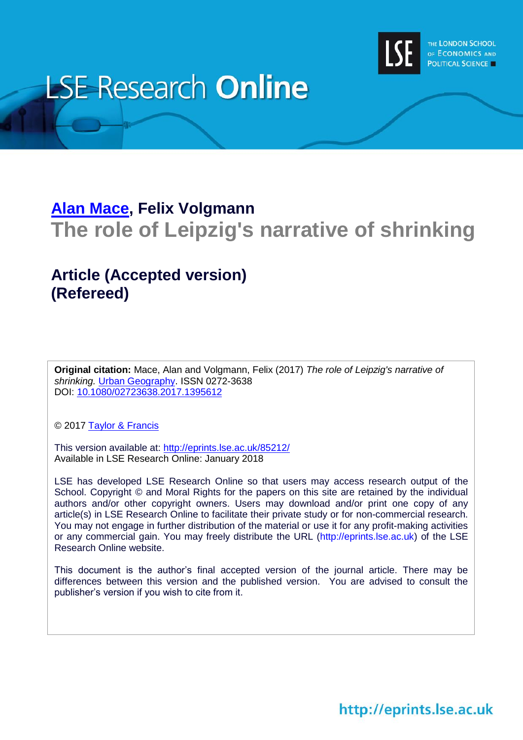

# **LSE Research Online**

# **[Alan Mace,](http://www.lse.ac.uk/researchAndExpertise/Experts/profile.aspx?KeyValue=a.mace@lse.ac.uk) Felix Volgmann The role of Leipzig's narrative of shrinking**

## **Article (Accepted version) (Refereed)**

**Original citation:** Mace, Alan and Volgmann, Felix (2017) *The role of Leipzig's narrative of shrinking.* [Urban Geography.](http://www.tandfonline.com/toc/rurb20/current) ISSN 0272-3638 DOI: [10.1080/02723638.2017.1395612](http://dx.doi.org/10.1080/02723638.2017.1395612)

© 2017 [Taylor & Francis](http://taylorandfrancis.com/)

This version available at:<http://eprints.lse.ac.uk/85212/> Available in LSE Research Online: January 2018

LSE has developed LSE Research Online so that users may access research output of the School. Copyright © and Moral Rights for the papers on this site are retained by the individual authors and/or other copyright owners. Users may download and/or print one copy of any article(s) in LSE Research Online to facilitate their private study or for non-commercial research. You may not engage in further distribution of the material or use it for any profit-making activities or any commercial gain. You may freely distribute the URL (http://eprints.lse.ac.uk) of the LSE Research Online website.

This document is the author's final accepted version of the journal article. There may be differences between this version and the published version. You are advised to consult the publisher's version if you wish to cite from it.

http://eprints.lse.ac.uk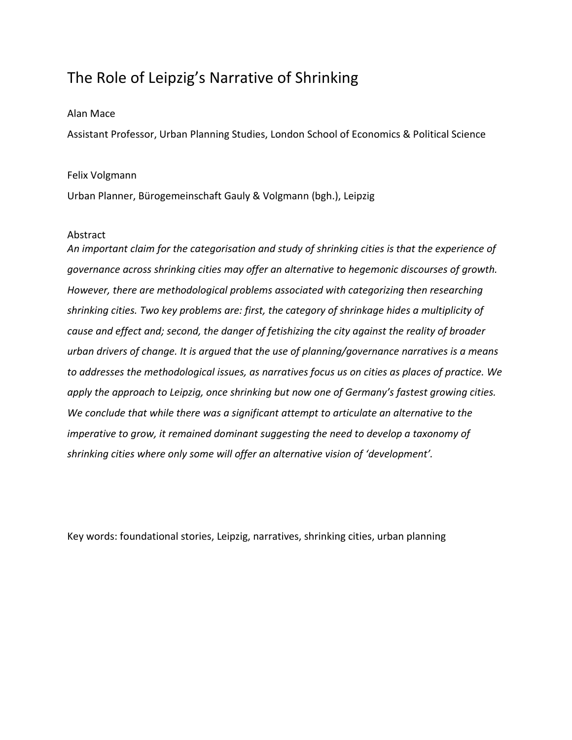### The Role of Leipzig's Narrative of Shrinking

#### Alan Mace

Assistant Professor, Urban Planning Studies, London School of Economics & Political Science

#### Felix Volgmann

Urban Planner, Bürogemeinschaft Gauly & Volgmann (bgh.), Leipzig

#### Abstract

*An important claim for the categorisation and study of shrinking cities is that the experience of governance across shrinking cities may offer an alternative to hegemonic discourses of growth. However, there are methodological problems associated with categorizing then researching shrinking cities. Two key problems are: first, the category of shrinkage hides a multiplicity of cause and effect and; second, the danger of fetishizing the city against the reality of broader urban drivers of change. It is argued that the use of planning/governance narratives is a means to addresses the methodological issues, as narratives focus us on cities as places of practice. We apply the approach to Leipzig, once shrinking but now one of Germany's fastest growing cities. We conclude that while there was a significant attempt to articulate an alternative to the imperative to grow, it remained dominant suggesting the need to develop a taxonomy of shrinking cities where only some will offer an alternative vision of 'development'.* 

Key words: foundational stories, Leipzig, narratives, shrinking cities, urban planning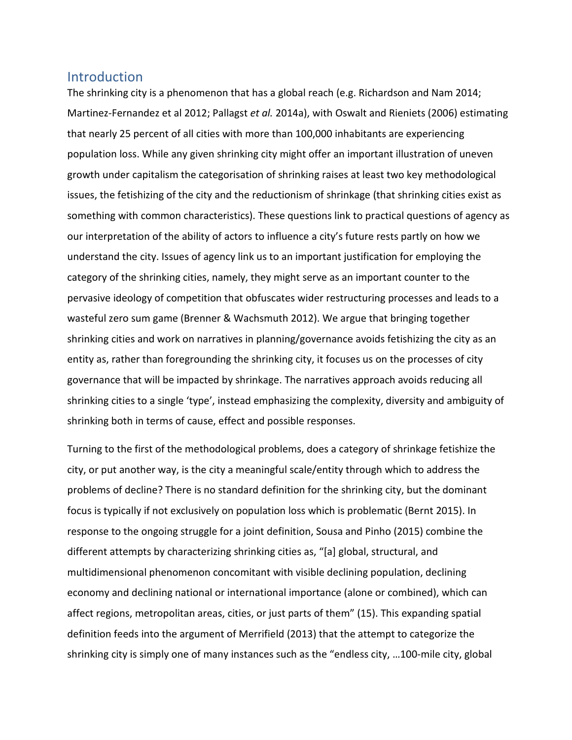#### **Introduction**

The shrinking city is a phenomenon that has a global reach (e.g. Richardson and Nam 2014; Martinez-Fernandez et al 2012; Pallagst *et al.* 2014a), with Oswalt and Rieniets (2006) estimating that nearly 25 percent of all cities with more than 100,000 inhabitants are experiencing population loss. While any given shrinking city might offer an important illustration of uneven growth under capitalism the categorisation of shrinking raises at least two key methodological issues, the fetishizing of the city and the reductionism of shrinkage (that shrinking cities exist as something with common characteristics). These questions link to practical questions of agency as our interpretation of the ability of actors to influence a city's future rests partly on how we understand the city. Issues of agency link us to an important justification for employing the category of the shrinking cities, namely, they might serve as an important counter to the pervasive ideology of competition that obfuscates wider restructuring processes and leads to a wasteful zero sum game (Brenner & Wachsmuth 2012). We argue that bringing together shrinking cities and work on narratives in planning/governance avoids fetishizing the city as an entity as, rather than foregrounding the shrinking city, it focuses us on the processes of city governance that will be impacted by shrinkage. The narratives approach avoids reducing all shrinking cities to a single 'type', instead emphasizing the complexity, diversity and ambiguity of shrinking both in terms of cause, effect and possible responses.

Turning to the first of the methodological problems, does a category of shrinkage fetishize the city, or put another way, is the city a meaningful scale/entity through which to address the problems of decline? There is no standard definition for the shrinking city, but the dominant focus is typically if not exclusively on population loss which is problematic (Bernt 2015). In response to the ongoing struggle for a joint definition, Sousa and Pinho (2015) combine the different attempts by characterizing shrinking cities as, "[a] global, structural, and multidimensional phenomenon concomitant with visible declining population, declining economy and declining national or international importance (alone or combined), which can affect regions, metropolitan areas, cities, or just parts of them" (15). This expanding spatial definition feeds into the argument of Merrifield (2013) that the attempt to categorize the shrinking city is simply one of many instances such as the "endless city, …100-mile city, global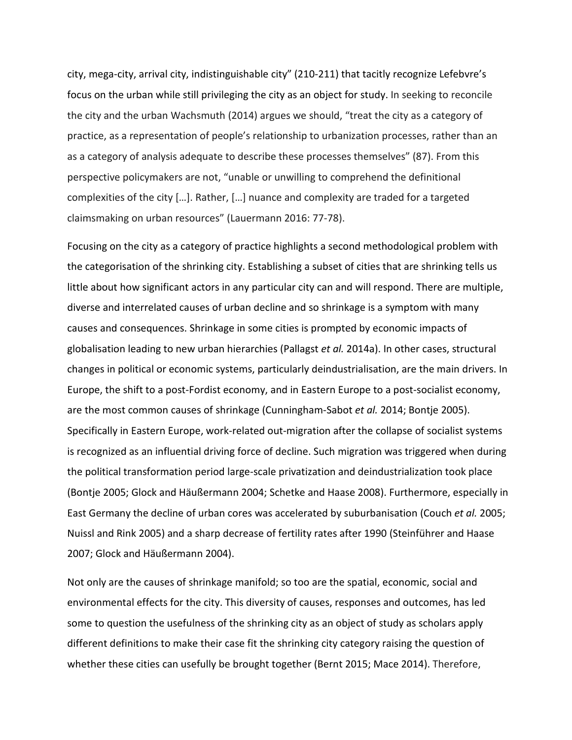city, mega-city, arrival city, indistinguishable city" (210-211) that tacitly recognize Lefebvre's focus on the urban while still privileging the city as an object for study. In seeking to reconcile the city and the urban Wachsmuth (2014) argues we should, "treat the city as a category of practice, as a representation of people's relationship to urbanization processes, rather than an as a category of analysis adequate to describe these processes themselves" (87). From this perspective policymakers are not, "unable or unwilling to comprehend the definitional complexities of the city […]. Rather, […] nuance and complexity are traded for a targeted claimsmaking on urban resources" (Lauermann 2016: 77-78).

Focusing on the city as a category of practice highlights a second methodological problem with the categorisation of the shrinking city. Establishing a subset of cities that are shrinking tells us little about how significant actors in any particular city can and will respond. There are multiple, diverse and interrelated causes of urban decline and so shrinkage is a symptom with many causes and consequences. Shrinkage in some cities is prompted by economic impacts of globalisation leading to new urban hierarchies (Pallagst *et al.* 2014a). In other cases, structural changes in political or economic systems, particularly deindustrialisation, are the main drivers. In Europe, the shift to a post-Fordist economy, and in Eastern Europe to a post-socialist economy, are the most common causes of shrinkage (Cunningham-Sabot *et al.* 2014; Bontje 2005). Specifically in Eastern Europe, work-related out-migration after the collapse of socialist systems is recognized as an influential driving force of decline. Such migration was triggered when during the political transformation period large-scale privatization and deindustrialization took place (Bontje 2005; Glock and Häußermann 2004; Schetke and Haase 2008). Furthermore, especially in East Germany the decline of urban cores was accelerated by suburbanisation (Couch *et al.* 2005; Nuissl and Rink 2005) and a sharp decrease of fertility rates after 1990 (Steinführer and Haase 2007; Glock and Häußermann 2004).

Not only are the causes of shrinkage manifold; so too are the spatial, economic, social and environmental effects for the city. This diversity of causes, responses and outcomes, has led some to question the usefulness of the shrinking city as an object of study as scholars apply different definitions to make their case fit the shrinking city category raising the question of whether these cities can usefully be brought together (Bernt 2015; Mace 2014). Therefore,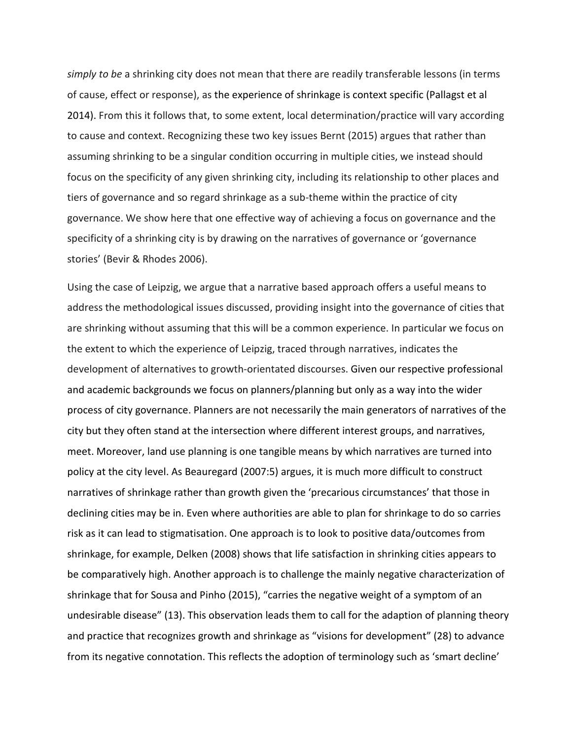*simply to be* a shrinking city does not mean that there are readily transferable lessons (in terms of cause, effect or response), as the experience of shrinkage is context specific (Pallagst et al 2014). From this it follows that, to some extent, local determination/practice will vary according to cause and context. Recognizing these two key issues Bernt (2015) argues that rather than assuming shrinking to be a singular condition occurring in multiple cities, we instead should focus on the specificity of any given shrinking city, including its relationship to other places and tiers of governance and so regard shrinkage as a sub-theme within the practice of city governance. We show here that one effective way of achieving a focus on governance and the specificity of a shrinking city is by drawing on the narratives of governance or 'governance stories' (Bevir & Rhodes 2006).

Using the case of Leipzig, we argue that a narrative based approach offers a useful means to address the methodological issues discussed, providing insight into the governance of cities that are shrinking without assuming that this will be a common experience. In particular we focus on the extent to which the experience of Leipzig, traced through narratives, indicates the development of alternatives to growth-orientated discourses. Given our respective professional and academic backgrounds we focus on planners/planning but only as a way into the wider process of city governance. Planners are not necessarily the main generators of narratives of the city but they often stand at the intersection where different interest groups, and narratives, meet. Moreover, land use planning is one tangible means by which narratives are turned into policy at the city level. As Beauregard (2007:5) argues, it is much more difficult to construct narratives of shrinkage rather than growth given the 'precarious circumstances' that those in declining cities may be in. Even where authorities are able to plan for shrinkage to do so carries risk as it can lead to stigmatisation. One approach is to look to positive data/outcomes from shrinkage, for example, Delken (2008) shows that life satisfaction in shrinking cities appears to be comparatively high. Another approach is to challenge the mainly negative characterization of shrinkage that for Sousa and Pinho (2015), "carries the negative weight of a symptom of an undesirable disease" (13). This observation leads them to call for the adaption of planning theory and practice that recognizes growth and shrinkage as "visions for development" (28) to advance from its negative connotation. This reflects the adoption of terminology such as 'smart decline'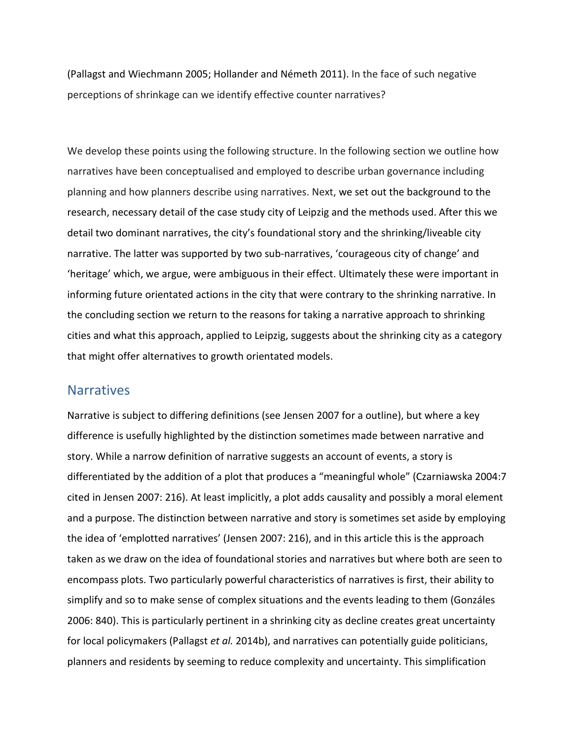(Pallagst and Wiechmann 2005; Hollander and Németh 2011). In the face of such negative perceptions of shrinkage can we identify effective counter narratives?

We develop these points using the following structure. In the following section we outline how narratives have been conceptualised and employed to describe urban governance including planning and how planners describe using narratives. Next, we set out the background to the research, necessary detail of the case study city of Leipzig and the methods used. After this we detail two dominant narratives, the city's foundational story and the shrinking/liveable city narrative. The latter was supported by two sub-narratives, 'courageous city of change' and 'heritage' which, we argue, were ambiguous in their effect. Ultimately these were important in informing future orientated actions in the city that were contrary to the shrinking narrative. In the concluding section we return to the reasons for taking a narrative approach to shrinking cities and what this approach, applied to Leipzig, suggests about the shrinking city as a category that might offer alternatives to growth orientated models.

#### **Narratives**

Narrative is subject to differing definitions (see Jensen 2007 for a outline), but where a key difference is usefully highlighted by the distinction sometimes made between narrative and story. While a narrow definition of narrative suggests an account of events, a story is differentiated by the addition of a plot that produces a "meaningful whole" (Czarniawska 2004:7 cited in Jensen 2007: 216). At least implicitly, a plot adds causality and possibly a moral element and a purpose. The distinction between narrative and story is sometimes set aside by employing the idea of 'emplotted narratives' (Jensen 2007: 216), and in this article this is the approach taken as we draw on the idea of foundational stories and narratives but where both are seen to encompass plots. Two particularly powerful characteristics of narratives is first, their ability to simplify and so to make sense of complex situations and the events leading to them (Gonzáles 2006: 840). This is particularly pertinent in a shrinking city as decline creates great uncertainty for local policymakers (Pallagst *et al.* 2014b), and narratives can potentially guide politicians, planners and residents by seeming to reduce complexity and uncertainty. This simplification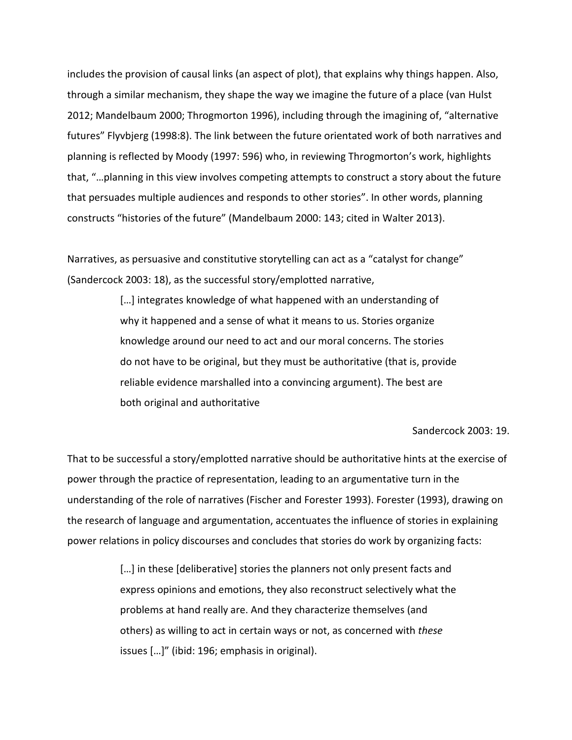includes the provision of causal links (an aspect of plot), that explains why things happen. Also, through a similar mechanism, they shape the way we imagine the future of a place (van Hulst 2012; Mandelbaum 2000; Throgmorton 1996), including through the imagining of, "alternative futures" Flyvbjerg (1998:8). The link between the future orientated work of both narratives and planning is reflected by Moody (1997: 596) who, in reviewing Throgmorton's work, highlights that, "…planning in this view involves competing attempts to construct a story about the future that persuades multiple audiences and responds to other stories". In other words, planning constructs "histories of the future" (Mandelbaum 2000: 143; cited in Walter 2013).

Narratives, as persuasive and constitutive storytelling can act as a "catalyst for change" (Sandercock 2003: 18), as the successful story/emplotted narrative,

> [...] integrates knowledge of what happened with an understanding of why it happened and a sense of what it means to us. Stories organize knowledge around our need to act and our moral concerns. The stories do not have to be original, but they must be authoritative (that is, provide reliable evidence marshalled into a convincing argument). The best are both original and authoritative

#### Sandercock 2003: 19.

That to be successful a story/emplotted narrative should be authoritative hints at the exercise of power through the practice of representation, leading to an argumentative turn in the understanding of the role of narratives (Fischer and Forester 1993). Forester (1993), drawing on the research of language and argumentation, accentuates the influence of stories in explaining power relations in policy discourses and concludes that stories do work by organizing facts:

> [...] in these [deliberative] stories the planners not only present facts and express opinions and emotions, they also reconstruct selectively what the problems at hand really are. And they characterize themselves (and others) as willing to act in certain ways or not, as concerned with *these* issues […]" (ibid: 196; emphasis in original).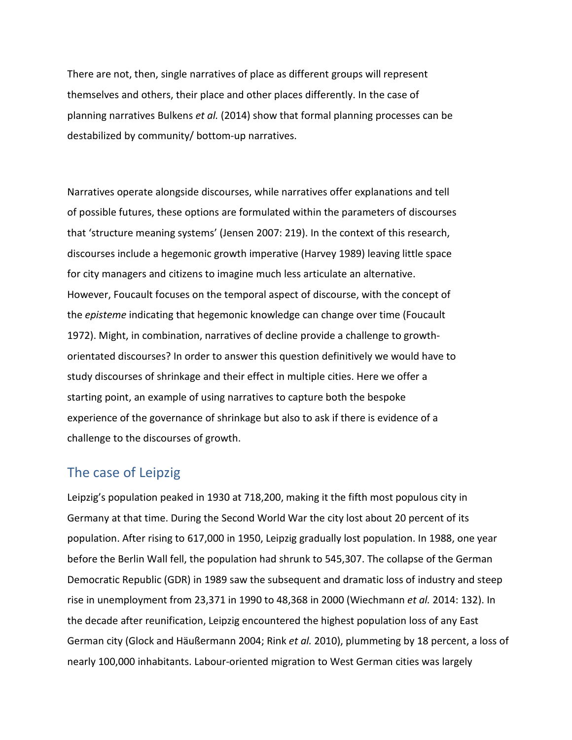There are not, then, single narratives of place as different groups will represent themselves and others, their place and other places differently. In the case of planning narratives Bulkens *et al.* (2014) show that formal planning processes can be destabilized by community/ bottom-up narratives.

Narratives operate alongside discourses, while narratives offer explanations and tell of possible futures, these options are formulated within the parameters of discourses that 'structure meaning systems' (Jensen 2007: 219). In the context of this research, discourses include a hegemonic growth imperative (Harvey 1989) leaving little space for city managers and citizens to imagine much less articulate an alternative. However, Foucault focuses on the temporal aspect of discourse, with the concept of the *episteme* indicating that hegemonic knowledge can change over time (Foucault 1972). Might, in combination, narratives of decline provide a challenge to growthorientated discourses? In order to answer this question definitively we would have to study discourses of shrinkage and their effect in multiple cities. Here we offer a starting point, an example of using narratives to capture both the bespoke experience of the governance of shrinkage but also to ask if there is evidence of a challenge to the discourses of growth.

#### The case of Leipzig

Leipzig's population peaked in 1930 at 718,200, making it the fifth most populous city in Germany at that time. During the Second World War the city lost about 20 percent of its population. After rising to 617,000 in 1950, Leipzig gradually lost population. In 1988, one year before the Berlin Wall fell, the population had shrunk to 545,307. The collapse of the German Democratic Republic (GDR) in 1989 saw the subsequent and dramatic loss of industry and steep rise in unemployment from 23,371 in 1990 to 48,368 in 2000 (Wiechmann *et al.* 2014: 132). In the decade after reunification, Leipzig encountered the highest population loss of any East German city (Glock and Häußermann 2004; Rink *et al.* 2010), plummeting by 18 percent, a loss of nearly 100,000 inhabitants. Labour-oriented migration to West German cities was largely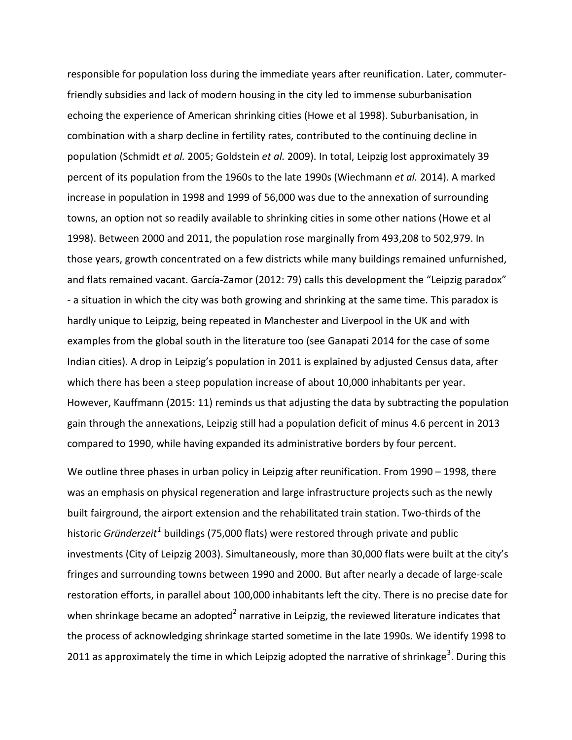responsible for population loss during the immediate years after reunification. Later, commuterfriendly subsidies and lack of modern housing in the city led to immense suburbanisation echoing the experience of American shrinking cities (Howe et al 1998). Suburbanisation, in combination with a sharp decline in fertility rates, contributed to the continuing decline in population (Schmidt *et al.* 2005; Goldstein *et al.* 2009). In total, Leipzig lost approximately 39 percent of its population from the 1960s to the late 1990s (Wiechmann *et al.* 2014). A marked increase in population in 1998 and 1999 of 56,000 was due to the annexation of surrounding towns, an option not so readily available to shrinking cities in some other nations (Howe et al 1998). Between 2000 and 2011, the population rose marginally from 493,208 to 502,979. In those years, growth concentrated on a few districts while many buildings remained unfurnished, and flats remained vacant. García-Zamor (2012: 79) calls this development the "Leipzig paradox" - a situation in which the city was both growing and shrinking at the same time. This paradox is hardly unique to Leipzig, being repeated in Manchester and Liverpool in the UK and with examples from the global south in the literature too (see Ganapati 2014 for the case of some Indian cities). A drop in Leipzig's population in 2011 is explained by adjusted Census data, after which there has been a steep population increase of about 10,000 inhabitants per year. However, Kauffmann (2015: 11) reminds us that adjusting the data by subtracting the population gain through the annexations, Leipzig still had a population deficit of minus 4.6 percent in 2013 compared to 1990, while having expanded its administrative borders by four percent.

We outline three phases in urban policy in Leipzig after reunification. From 1990 - 1998, there was an emphasis on physical regeneration and large infrastructure projects such as the newly built fairground, the airport extension and the rehabilitated train station. Two-thirds of the historic *Gründerzeit[1](#page-29-0)* buildings (75,000 flats) were restored through private and public investments (City of Leipzig 2003). Simultaneously, more than 30,000 flats were built at the city's fringes and surrounding towns between 1990 and 2000. But after nearly a decade of large-scale restoration efforts, in parallel about 100,000 inhabitants left the city. There is no precise date for when shrinkage became an adopted<sup>[2](#page-29-1)</sup> narrative in Leipzig, the reviewed literature indicates that the process of acknowledging shrinkage started sometime in the late 1990s. We identify 1998 to 2011 as approximately the time in which Leipzig adopted the narrative of shrinkage<sup>[3](#page-29-2)</sup>. During this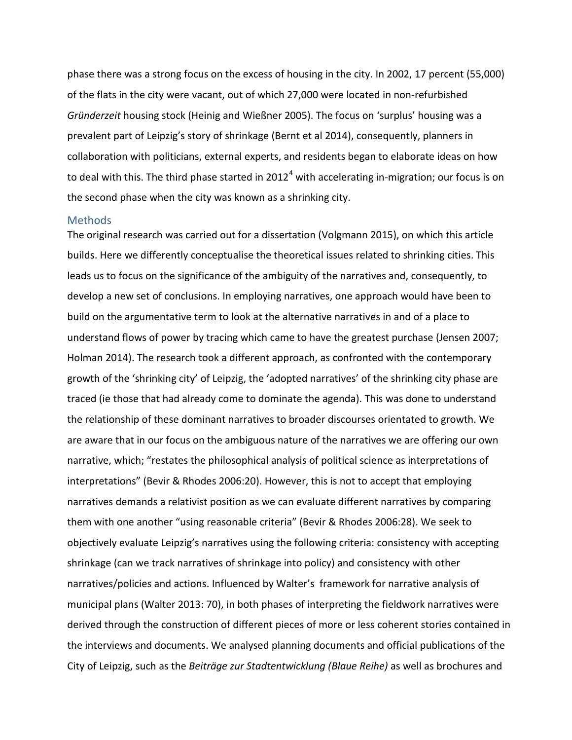phase there was a strong focus on the excess of housing in the city. In 2002, 17 percent (55,000) of the flats in the city were vacant, out of which 27,000 were located in non-refurbished *Gründerzeit* housing stock (Heinig and Wießner 2005). The focus on 'surplus' housing was a prevalent part of Leipzig's story of shrinkage (Bernt et al 2014), consequently, planners in collaboration with politicians, external experts, and residents began to elaborate ideas on how to deal with this. The third phase started in 2012<sup>[4](#page-29-3)</sup> with accelerating in-migration; our focus is on the second phase when the city was known as a shrinking city.

#### Methods

The original research was carried out for a dissertation (Volgmann 2015), on which this article builds. Here we differently conceptualise the theoretical issues related to shrinking cities. This leads us to focus on the significance of the ambiguity of the narratives and, consequently, to develop a new set of conclusions. In employing narratives, one approach would have been to build on the argumentative term to look at the alternative narratives in and of a place to understand flows of power by tracing which came to have the greatest purchase (Jensen 2007; Holman 2014). The research took a different approach, as confronted with the contemporary growth of the 'shrinking city' of Leipzig, the 'adopted narratives' of the shrinking city phase are traced (ie those that had already come to dominate the agenda). This was done to understand the relationship of these dominant narratives to broader discourses orientated to growth. We are aware that in our focus on the ambiguous nature of the narratives we are offering our own narrative, which; "restates the philosophical analysis of political science as interpretations of interpretations" (Bevir & Rhodes 2006:20). However, this is not to accept that employing narratives demands a relativist position as we can evaluate different narratives by comparing them with one another "using reasonable criteria" (Bevir & Rhodes 2006:28). We seek to objectively evaluate Leipzig's narratives using the following criteria: consistency with accepting shrinkage (can we track narratives of shrinkage into policy) and consistency with other narratives/policies and actions. Influenced by Walter's framework for narrative analysis of municipal plans (Walter 2013: 70), in both phases of interpreting the fieldwork narratives were derived through the construction of different pieces of more or less coherent stories contained in the interviews and documents. We analysed planning documents and official publications of the City of Leipzig, such as the *Beiträge zur Stadtentwicklung (Blaue Reihe)* as well as brochures and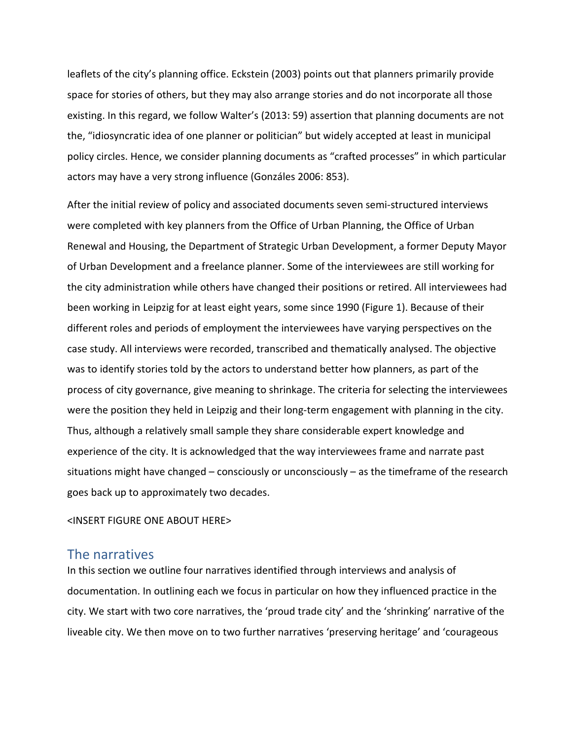leaflets of the city's planning office. Eckstein (2003) points out that planners primarily provide space for stories of others, but they may also arrange stories and do not incorporate all those existing. In this regard, we follow Walter's (2013: 59) assertion that planning documents are not the, "idiosyncratic idea of one planner or politician" but widely accepted at least in municipal policy circles. Hence, we consider planning documents as "crafted processes" in which particular actors may have a very strong influence (Gonzáles 2006: 853).

After the initial review of policy and associated documents seven semi-structured interviews were completed with key planners from the Office of Urban Planning, the Office of Urban Renewal and Housing, the Department of Strategic Urban Development, a former Deputy Mayor of Urban Development and a freelance planner. Some of the interviewees are still working for the city administration while others have changed their positions or retired. All interviewees had been working in Leipzig for at least eight years, some since 1990 (Figure 1). Because of their different roles and periods of employment the interviewees have varying perspectives on the case study. All interviews were recorded, transcribed and thematically analysed. The objective was to identify stories told by the actors to understand better how planners, as part of the process of city governance, give meaning to shrinkage. The criteria for selecting the interviewees were the position they held in Leipzig and their long-term engagement with planning in the city. Thus, although a relatively small sample they share considerable expert knowledge and experience of the city. It is acknowledged that the way interviewees frame and narrate past situations might have changed – consciously or unconsciously – as the timeframe of the research goes back up to approximately two decades.

<INSERT FIGURE ONE ABOUT HERE>

#### The narratives

In this section we outline four narratives identified through interviews and analysis of documentation. In outlining each we focus in particular on how they influenced practice in the city. We start with two core narratives, the 'proud trade city' and the 'shrinking' narrative of the liveable city. We then move on to two further narratives 'preserving heritage' and 'courageous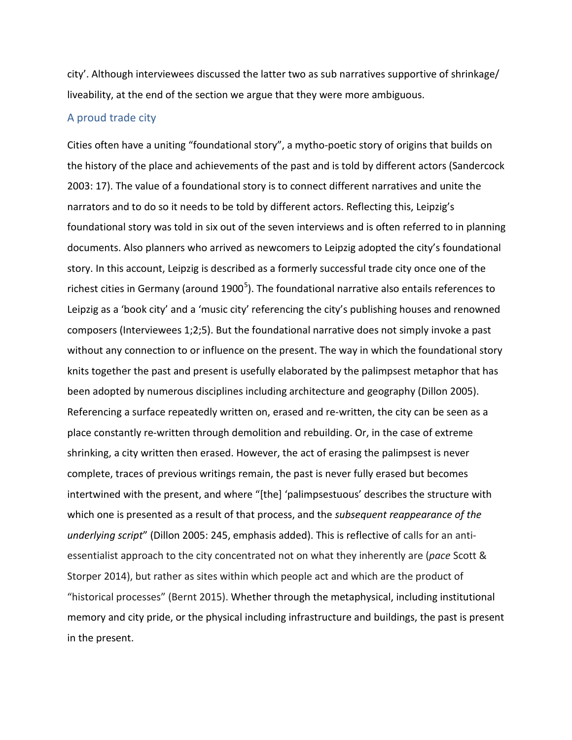city'. Although interviewees discussed the latter two as sub narratives supportive of shrinkage/ liveability, at the end of the section we argue that they were more ambiguous.

#### A proud trade city

Cities often have a uniting "foundational story", a mytho-poetic story of origins that builds on the history of the place and achievements of the past and is told by different actors (Sandercock 2003: 17). The value of a foundational story is to connect different narratives and unite the narrators and to do so it needs to be told by different actors. Reflecting this, Leipzig's foundational story was told in six out of the seven interviews and is often referred to in planning documents. Also planners who arrived as newcomers to Leipzig adopted the city's foundational story. In this account, Leipzig is described as a formerly successful trade city once one of the richest cities in Germany (around 1900<sup>[5](#page-29-4)</sup>). The foundational narrative also entails references to Leipzig as a 'book city' and a 'music city' referencing the city's publishing houses and renowned composers (Interviewees 1;2;5). But the foundational narrative does not simply invoke a past without any connection to or influence on the present. The way in which the foundational story knits together the past and present is usefully elaborated by the palimpsest metaphor that has been adopted by numerous disciplines including architecture and geography (Dillon 2005). Referencing a surface repeatedly written on, erased and re-written, the city can be seen as a place constantly re-written through demolition and rebuilding. Or, in the case of extreme shrinking, a city written then erased. However, the act of erasing the palimpsest is never complete, traces of previous writings remain, the past is never fully erased but becomes intertwined with the present, and where "[the] 'palimpsestuous' describes the structure with which one is presented as a result of that process, and the *subsequent reappearance of the underlying script*" (Dillon 2005: 245, emphasis added). This is reflective of calls for an antiessentialist approach to the city concentrated not on what they inherently are (*pace* Scott & Storper 2014), but rather as sites within which people act and which are the product of "historical processes" (Bernt 2015). Whether through the metaphysical, including institutional memory and city pride, or the physical including infrastructure and buildings, the past is present in the present.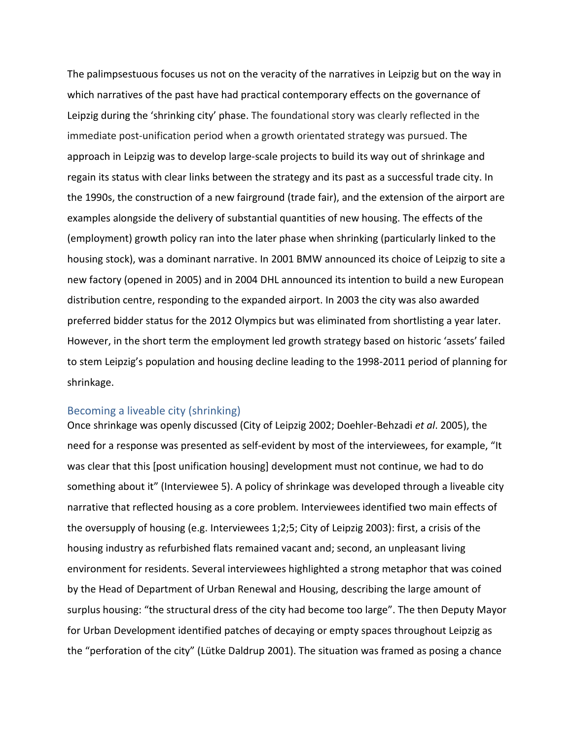The palimpsestuous focuses us not on the veracity of the narratives in Leipzig but on the way in which narratives of the past have had practical contemporary effects on the governance of Leipzig during the 'shrinking city' phase. The foundational story was clearly reflected in the immediate post-unification period when a growth orientated strategy was pursued. The approach in Leipzig was to develop large-scale projects to build its way out of shrinkage and regain its status with clear links between the strategy and its past as a successful trade city. In the 1990s, the construction of a new fairground (trade fair), and the extension of the airport are examples alongside the delivery of substantial quantities of new housing. The effects of the (employment) growth policy ran into the later phase when shrinking (particularly linked to the housing stock), was a dominant narrative. In 2001 BMW announced its choice of Leipzig to site a new factory (opened in 2005) and in 2004 DHL announced its intention to build a new European distribution centre, responding to the expanded airport. In 2003 the city was also awarded preferred bidder status for the 2012 Olympics but was eliminated from shortlisting a year later. However, in the short term the employment led growth strategy based on historic 'assets' failed to stem Leipzig's population and housing decline leading to the 1998-2011 period of planning for shrinkage.

#### Becoming a liveable city (shrinking)

Once shrinkage was openly discussed (City of Leipzig 2002; Doehler-Behzadi *et al*. 2005), the need for a response was presented as self-evident by most of the interviewees, for example, "It was clear that this [post unification housing] development must not continue, we had to do something about it" (Interviewee 5). A policy of shrinkage was developed through a liveable city narrative that reflected housing as a core problem. Interviewees identified two main effects of the oversupply of housing (e.g. Interviewees 1;2;5; City of Leipzig 2003): first, a crisis of the housing industry as refurbished flats remained vacant and; second, an unpleasant living environment for residents. Several interviewees highlighted a strong metaphor that was coined by the Head of Department of Urban Renewal and Housing, describing the large amount of surplus housing: "the structural dress of the city had become too large". The then Deputy Mayor for Urban Development identified patches of decaying or empty spaces throughout Leipzig as the "perforation of the city" (Lütke Daldrup 2001). The situation was framed as posing a chance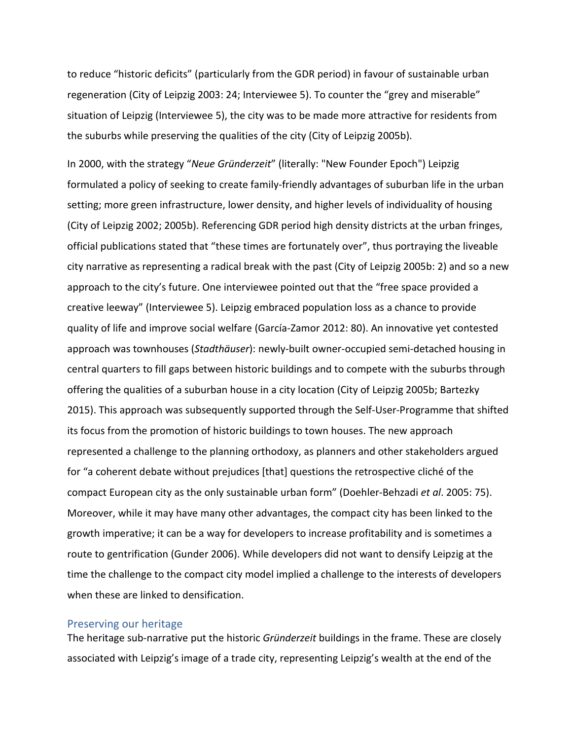to reduce "historic deficits" (particularly from the GDR period) in favour of sustainable urban regeneration (City of Leipzig 2003: 24; Interviewee 5). To counter the "grey and miserable" situation of Leipzig (Interviewee 5), the city was to be made more attractive for residents from the suburbs while preserving the qualities of the city (City of Leipzig 2005b).

In 2000, with the strategy "*Neue Gründerzeit*" (literally: "New Founder Epoch") Leipzig formulated a policy of seeking to create family-friendly advantages of suburban life in the urban setting; more green infrastructure, lower density, and higher levels of individuality of housing (City of Leipzig 2002; 2005b). Referencing GDR period high density districts at the urban fringes, official publications stated that "these times are fortunately over", thus portraying the liveable city narrative as representing a radical break with the past (City of Leipzig 2005b: 2) and so a new approach to the city's future. One interviewee pointed out that the "free space provided a creative leeway" (Interviewee 5). Leipzig embraced population loss as a chance to provide quality of life and improve social welfare (García-Zamor 2012: 80). An innovative yet contested approach was townhouses (*Stadthäuser*): newly-built owner-occupied semi-detached housing in central quarters to fill gaps between historic buildings and to compete with the suburbs through offering the qualities of a suburban house in a city location (City of Leipzig 2005b; Bartezky 2015). This approach was subsequently supported through the Self-User-Programme that shifted its focus from the promotion of historic buildings to town houses. The new approach represented a challenge to the planning orthodoxy, as planners and other stakeholders argued for "a coherent debate without prejudices [that] questions the retrospective cliché of the compact European city as the only sustainable urban form" (Doehler-Behzadi *et al*. 2005: 75). Moreover, while it may have many other advantages, the compact city has been linked to the growth imperative; it can be a way for developers to increase profitability and is sometimes a route to gentrification (Gunder 2006). While developers did not want to densify Leipzig at the time the challenge to the compact city model implied a challenge to the interests of developers when these are linked to densification.

#### Preserving our heritage

The heritage sub-narrative put the historic *Gründerzeit* buildings in the frame. These are closely associated with Leipzig's image of a trade city, representing Leipzig's wealth at the end of the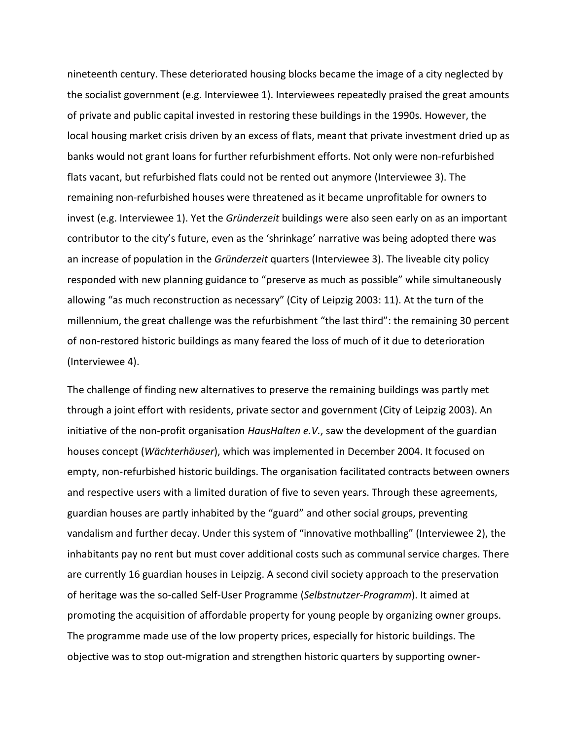nineteenth century. These deteriorated housing blocks became the image of a city neglected by the socialist government (e.g. Interviewee 1). Interviewees repeatedly praised the great amounts of private and public capital invested in restoring these buildings in the 1990s. However, the local housing market crisis driven by an excess of flats, meant that private investment dried up as banks would not grant loans for further refurbishment efforts. Not only were non-refurbished flats vacant, but refurbished flats could not be rented out anymore (Interviewee 3). The remaining non-refurbished houses were threatened as it became unprofitable for owners to invest (e.g. Interviewee 1). Yet the *Gründerzeit* buildings were also seen early on as an important contributor to the city's future, even as the 'shrinkage' narrative was being adopted there was an increase of population in the *Gründerzeit* quarters (Interviewee 3). The liveable city policy responded with new planning guidance to "preserve as much as possible" while simultaneously allowing "as much reconstruction as necessary" (City of Leipzig 2003: 11). At the turn of the millennium, the great challenge was the refurbishment "the last third": the remaining 30 percent of non-restored historic buildings as many feared the loss of much of it due to deterioration (Interviewee 4).

The challenge of finding new alternatives to preserve the remaining buildings was partly met through a joint effort with residents, private sector and government (City of Leipzig 2003). An initiative of the non-profit organisation *HausHalten e.V.*, saw the development of the guardian houses concept (*Wächterhäuser*), which was implemented in December 2004. It focused on empty, non-refurbished historic buildings. The organisation facilitated contracts between owners and respective users with a limited duration of five to seven years. Through these agreements, guardian houses are partly inhabited by the "guard" and other social groups, preventing vandalism and further decay. Under this system of "innovative mothballing" (Interviewee 2), the inhabitants pay no rent but must cover additional costs such as communal service charges. There are currently 16 guardian houses in Leipzig. A second civil society approach to the preservation of heritage was the so-called Self-User Programme (*Selbstnutzer-Programm*). It aimed at promoting the acquisition of affordable property for young people by organizing owner groups. The programme made use of the low property prices, especially for historic buildings. The objective was to stop out-migration and strengthen historic quarters by supporting owner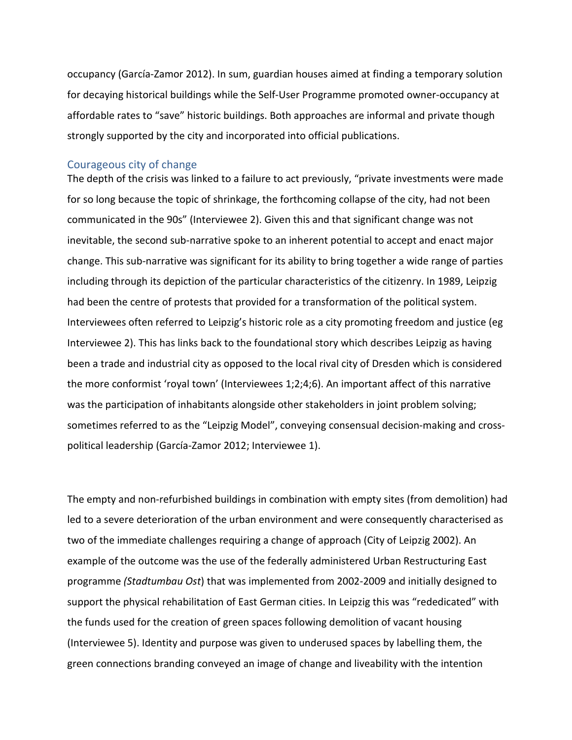occupancy (García-Zamor 2012). In sum, guardian houses aimed at finding a temporary solution for decaying historical buildings while the Self-User Programme promoted owner-occupancy at affordable rates to "save" historic buildings. Both approaches are informal and private though strongly supported by the city and incorporated into official publications.

#### Courageous city of change

The depth of the crisis was linked to a failure to act previously, "private investments were made for so long because the topic of shrinkage, the forthcoming collapse of the city, had not been communicated in the 90s" (Interviewee 2). Given this and that significant change was not inevitable, the second sub-narrative spoke to an inherent potential to accept and enact major change. This sub-narrative was significant for its ability to bring together a wide range of parties including through its depiction of the particular characteristics of the citizenry. In 1989, Leipzig had been the centre of protests that provided for a transformation of the political system. Interviewees often referred to Leipzig's historic role as a city promoting freedom and justice (eg Interviewee 2). This has links back to the foundational story which describes Leipzig as having been a trade and industrial city as opposed to the local rival city of Dresden which is considered the more conformist 'royal town' (Interviewees 1;2;4;6). An important affect of this narrative was the participation of inhabitants alongside other stakeholders in joint problem solving; sometimes referred to as the "Leipzig Model", conveying consensual decision-making and crosspolitical leadership (García-Zamor 2012; Interviewee 1).

The empty and non-refurbished buildings in combination with empty sites (from demolition) had led to a severe deterioration of the urban environment and were consequently characterised as two of the immediate challenges requiring a change of approach (City of Leipzig 2002). An example of the outcome was the use of the federally administered Urban Restructuring East programme *(Stadtumbau Ost*) that was implemented from 2002-2009 and initially designed to support the physical rehabilitation of East German cities. In Leipzig this was "rededicated" with the funds used for the creation of green spaces following demolition of vacant housing (Interviewee 5). Identity and purpose was given to underused spaces by labelling them, the green connections branding conveyed an image of change and liveability with the intention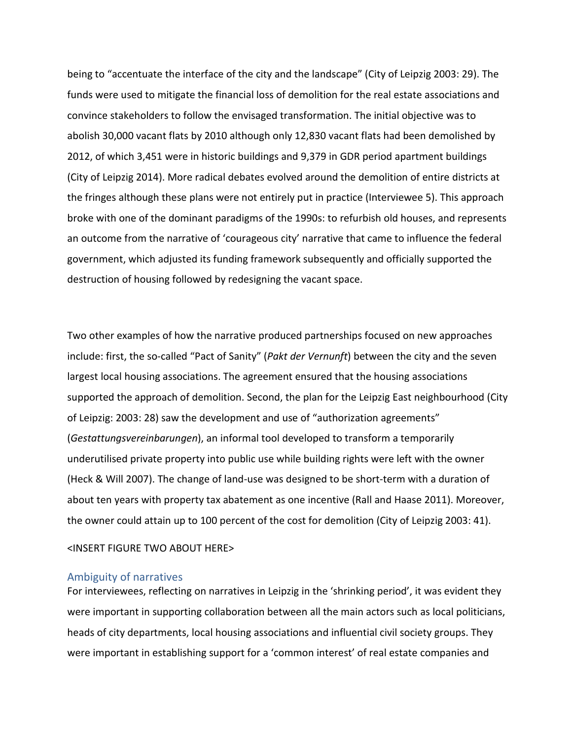being to "accentuate the interface of the city and the landscape" (City of Leipzig 2003: 29). The funds were used to mitigate the financial loss of demolition for the real estate associations and convince stakeholders to follow the envisaged transformation. The initial objective was to abolish 30,000 vacant flats by 2010 although only 12,830 vacant flats had been demolished by 2012, of which 3,451 were in historic buildings and 9,379 in GDR period apartment buildings (City of Leipzig 2014). More radical debates evolved around the demolition of entire districts at the fringes although these plans were not entirely put in practice (Interviewee 5). This approach broke with one of the dominant paradigms of the 1990s: to refurbish old houses, and represents an outcome from the narrative of 'courageous city' narrative that came to influence the federal government, which adjusted its funding framework subsequently and officially supported the destruction of housing followed by redesigning the vacant space.

Two other examples of how the narrative produced partnerships focused on new approaches include: first, the so-called "Pact of Sanity" (*Pakt der Vernunft*) between the city and the seven largest local housing associations. The agreement ensured that the housing associations supported the approach of demolition. Second, the plan for the Leipzig East neighbourhood (City of Leipzig: 2003: 28) saw the development and use of "authorization agreements" (*Gestattungsvereinbarungen*), an informal tool developed to transform a temporarily underutilised private property into public use while building rights were left with the owner (Heck & Will 2007). The change of land-use was designed to be short-term with a duration of about ten years with property tax abatement as one incentive (Rall and Haase 2011). Moreover, the owner could attain up to 100 percent of the cost for demolition (City of Leipzig 2003: 41).

#### <INSERT FIGURE TWO ABOUT HERE>

#### Ambiguity of narratives

For interviewees, reflecting on narratives in Leipzig in the 'shrinking period', it was evident they were important in supporting collaboration between all the main actors such as local politicians, heads of city departments, local housing associations and influential civil society groups. They were important in establishing support for a 'common interest' of real estate companies and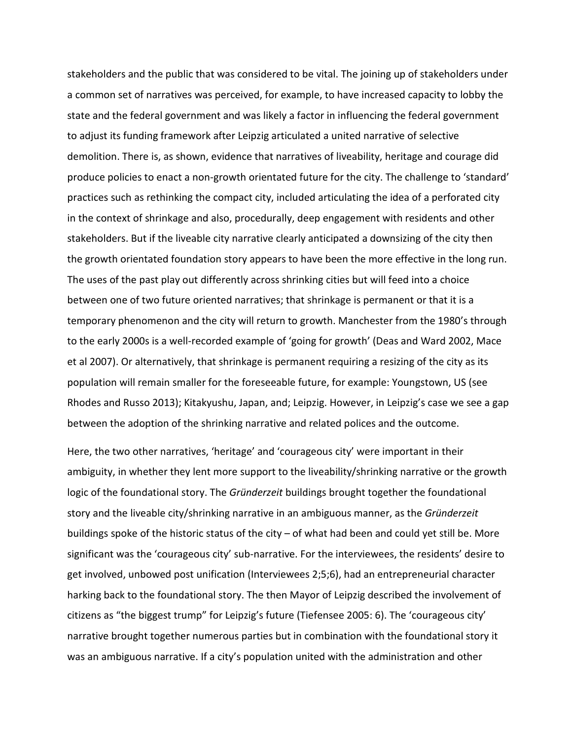stakeholders and the public that was considered to be vital. The joining up of stakeholders under a common set of narratives was perceived, for example, to have increased capacity to lobby the state and the federal government and was likely a factor in influencing the federal government to adjust its funding framework after Leipzig articulated a united narrative of selective demolition. There is, as shown, evidence that narratives of liveability, heritage and courage did produce policies to enact a non-growth orientated future for the city. The challenge to 'standard' practices such as rethinking the compact city, included articulating the idea of a perforated city in the context of shrinkage and also, procedurally, deep engagement with residents and other stakeholders. But if the liveable city narrative clearly anticipated a downsizing of the city then the growth orientated foundation story appears to have been the more effective in the long run. The uses of the past play out differently across shrinking cities but will feed into a choice between one of two future oriented narratives; that shrinkage is permanent or that it is a temporary phenomenon and the city will return to growth. Manchester from the 1980's through to the early 2000s is a well-recorded example of 'going for growth' (Deas and Ward 2002, Mace et al 2007). Or alternatively, that shrinkage is permanent requiring a resizing of the city as its population will remain smaller for the foreseeable future, for example: Youngstown, US (see Rhodes and Russo 2013); Kitakyushu, Japan, and; Leipzig. However, in Leipzig's case we see a gap between the adoption of the shrinking narrative and related polices and the outcome.

Here, the two other narratives, 'heritage' and 'courageous city' were important in their ambiguity, in whether they lent more support to the liveability/shrinking narrative or the growth logic of the foundational story. The *Gründerzeit* buildings brought together the foundational story and the liveable city/shrinking narrative in an ambiguous manner, as the *Gründerzeit* buildings spoke of the historic status of the city – of what had been and could yet still be. More significant was the 'courageous city' sub-narrative. For the interviewees, the residents' desire to get involved, unbowed post unification (Interviewees 2;5;6), had an entrepreneurial character harking back to the foundational story. The then Mayor of Leipzig described the involvement of citizens as "the biggest trump" for Leipzig's future (Tiefensee 2005: 6). The 'courageous city' narrative brought together numerous parties but in combination with the foundational story it was an ambiguous narrative. If a city's population united with the administration and other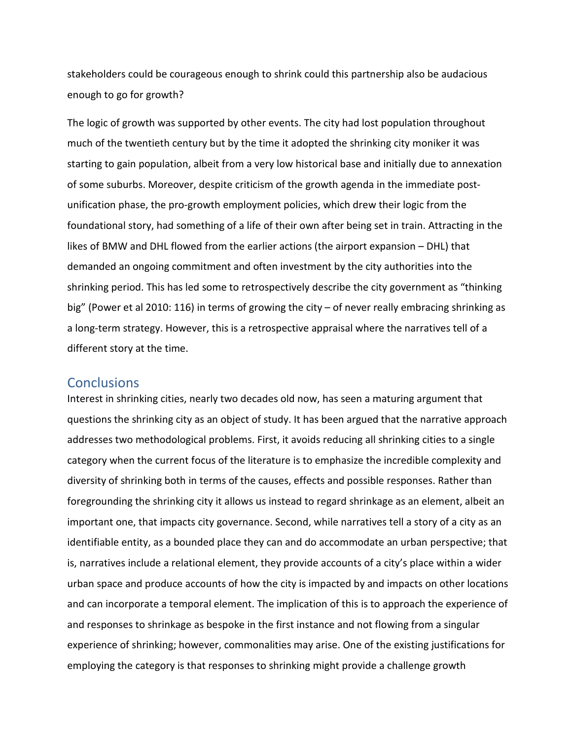stakeholders could be courageous enough to shrink could this partnership also be audacious enough to go for growth?

The logic of growth was supported by other events. The city had lost population throughout much of the twentieth century but by the time it adopted the shrinking city moniker it was starting to gain population, albeit from a very low historical base and initially due to annexation of some suburbs. Moreover, despite criticism of the growth agenda in the immediate postunification phase, the pro-growth employment policies, which drew their logic from the foundational story, had something of a life of their own after being set in train. Attracting in the likes of BMW and DHL flowed from the earlier actions (the airport expansion – DHL) that demanded an ongoing commitment and often investment by the city authorities into the shrinking period. This has led some to retrospectively describe the city government as "thinking big" (Power et al 2010: 116) in terms of growing the city – of never really embracing shrinking as a long-term strategy. However, this is a retrospective appraisal where the narratives tell of a different story at the time.

#### **Conclusions**

Interest in shrinking cities, nearly two decades old now, has seen a maturing argument that questions the shrinking city as an object of study. It has been argued that the narrative approach addresses two methodological problems. First, it avoids reducing all shrinking cities to a single category when the current focus of the literature is to emphasize the incredible complexity and diversity of shrinking both in terms of the causes, effects and possible responses. Rather than foregrounding the shrinking city it allows us instead to regard shrinkage as an element, albeit an important one, that impacts city governance. Second, while narratives tell a story of a city as an identifiable entity, as a bounded place they can and do accommodate an urban perspective; that is, narratives include a relational element, they provide accounts of a city's place within a wider urban space and produce accounts of how the city is impacted by and impacts on other locations and can incorporate a temporal element. The implication of this is to approach the experience of and responses to shrinkage as bespoke in the first instance and not flowing from a singular experience of shrinking; however, commonalities may arise. One of the existing justifications for employing the category is that responses to shrinking might provide a challenge growth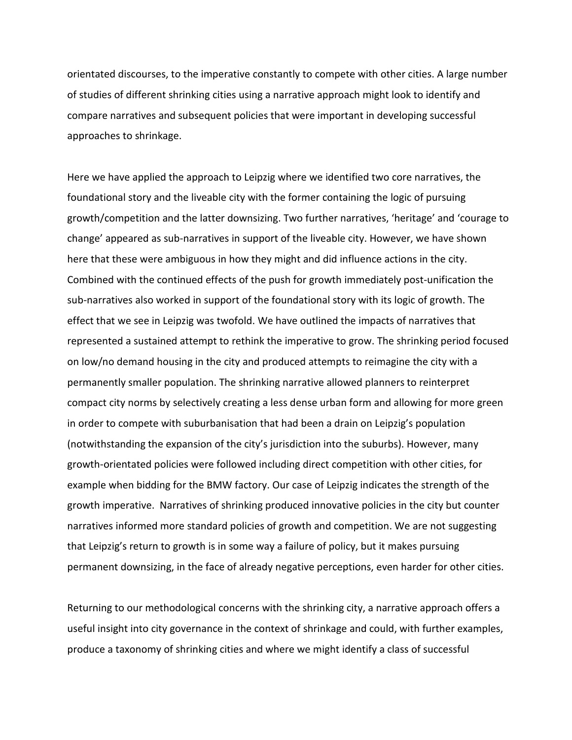orientated discourses, to the imperative constantly to compete with other cities. A large number of studies of different shrinking cities using a narrative approach might look to identify and compare narratives and subsequent policies that were important in developing successful approaches to shrinkage.

Here we have applied the approach to Leipzig where we identified two core narratives, the foundational story and the liveable city with the former containing the logic of pursuing growth/competition and the latter downsizing. Two further narratives, 'heritage' and 'courage to change' appeared as sub-narratives in support of the liveable city. However, we have shown here that these were ambiguous in how they might and did influence actions in the city. Combined with the continued effects of the push for growth immediately post-unification the sub-narratives also worked in support of the foundational story with its logic of growth. The effect that we see in Leipzig was twofold. We have outlined the impacts of narratives that represented a sustained attempt to rethink the imperative to grow. The shrinking period focused on low/no demand housing in the city and produced attempts to reimagine the city with a permanently smaller population. The shrinking narrative allowed planners to reinterpret compact city norms by selectively creating a less dense urban form and allowing for more green in order to compete with suburbanisation that had been a drain on Leipzig's population (notwithstanding the expansion of the city's jurisdiction into the suburbs). However, many growth-orientated policies were followed including direct competition with other cities, for example when bidding for the BMW factory. Our case of Leipzig indicates the strength of the growth imperative. Narratives of shrinking produced innovative policies in the city but counter narratives informed more standard policies of growth and competition. We are not suggesting that Leipzig's return to growth is in some way a failure of policy, but it makes pursuing permanent downsizing, in the face of already negative perceptions, even harder for other cities.

Returning to our methodological concerns with the shrinking city, a narrative approach offers a useful insight into city governance in the context of shrinkage and could, with further examples, produce a taxonomy of shrinking cities and where we might identify a class of successful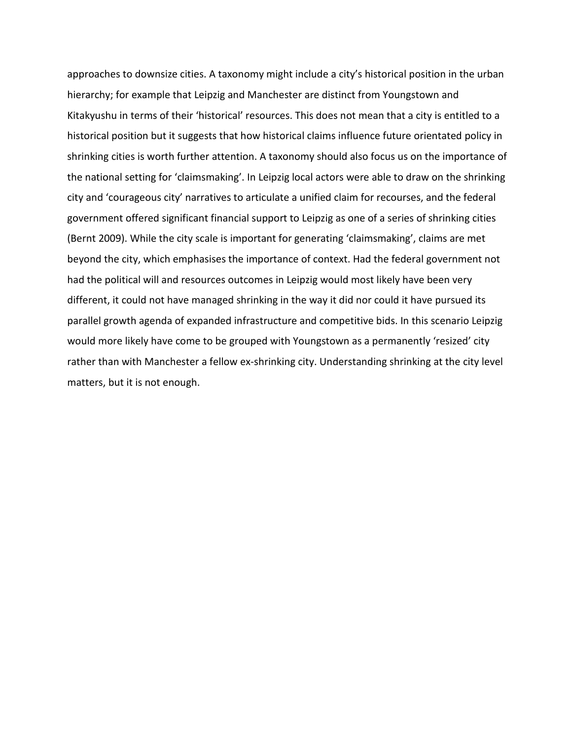approaches to downsize cities. A taxonomy might include a city's historical position in the urban hierarchy; for example that Leipzig and Manchester are distinct from Youngstown and Kitakyushu in terms of their 'historical' resources. This does not mean that a city is entitled to a historical position but it suggests that how historical claims influence future orientated policy in shrinking cities is worth further attention. A taxonomy should also focus us on the importance of the national setting for 'claimsmaking'. In Leipzig local actors were able to draw on the shrinking city and 'courageous city' narratives to articulate a unified claim for recourses, and the federal government offered significant financial support to Leipzig as one of a series of shrinking cities (Bernt 2009). While the city scale is important for generating 'claimsmaking', claims are met beyond the city, which emphasises the importance of context. Had the federal government not had the political will and resources outcomes in Leipzig would most likely have been very different, it could not have managed shrinking in the way it did nor could it have pursued its parallel growth agenda of expanded infrastructure and competitive bids. In this scenario Leipzig would more likely have come to be grouped with Youngstown as a permanently 'resized' city rather than with Manchester a fellow ex-shrinking city. Understanding shrinking at the city level matters, but it is not enough.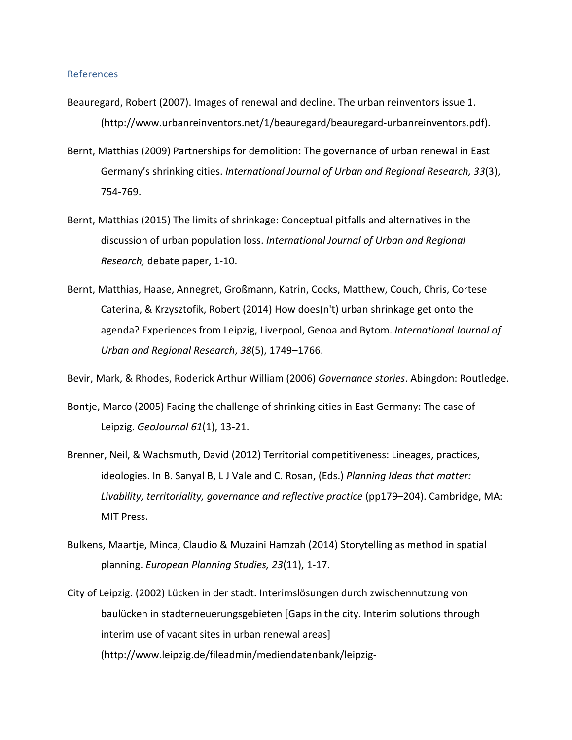#### References

- Beauregard, Robert (2007). Images of renewal and decline. The urban reinventors issue 1. (http://www.urbanreinventors.net/1/beauregard/beauregard-urbanreinventors.pdf).
- Bernt, Matthias (2009) Partnerships for demolition: The governance of urban renewal in East Germany's shrinking cities. *International Journal of Urban and Regional Research, 33*(3), 754-769.
- Bernt, Matthias (2015) The limits of shrinkage: Conceptual pitfalls and alternatives in the discussion of urban population loss. *International Journal of Urban and Regional Research,* debate paper, 1-10.
- Bernt, Matthias, Haase, Annegret, Großmann, Katrin, Cocks, Matthew, Couch, Chris, Cortese Caterina, & Krzysztofik, Robert (2014) How does(n't) urban shrinkage get onto the agenda? Experiences from Leipzig, Liverpool, Genoa and Bytom. *International Journal of Urban and Regional Research*, *38*(5), 1749–1766.

Bevir, Mark, & Rhodes, Roderick Arthur William (2006) *Governance stories*. Abingdon: Routledge.

- Bontje, Marco (2005) Facing the challenge of shrinking cities in East Germany: The case of Leipzig. *GeoJournal 61*(1), 13-21.
- Brenner, Neil, & Wachsmuth, David (2012) Territorial competitiveness: Lineages, practices, ideologies. In B. Sanyal B, L J Vale and C. Rosan, (Eds.) *Planning Ideas that matter: Livability, territoriality, governance and reflective practice* (pp179–204). Cambridge, MA: MIT Press.
- Bulkens, Maartje, Minca, Claudio & Muzaini Hamzah (2014) Storytelling as method in spatial planning. *European Planning Studies, 23*(11), 1-17.
- City of Leipzig. (2002) Lücken in der stadt. Interimslösungen durch zwischennutzung von baulücken in stadterneuerungsgebieten [Gaps in the city. Interim solutions through interim use of vacant sites in urban renewal areas] [\(http://www.leipzig.de/fileadmin/mediendatenbank/leipzig-](http://www.leipzig.de/fileadmin/mediendatenbank/leipzig-de/Stadt/02.6_Dez6_Stadtentwicklung_Bau/64_Amt_fuer_Stadterneuerung_und_Wohnungsbaufoerderung/Projekte/Flyer_Broschueren_PDFs/luecken_flyer.pdf?L=0)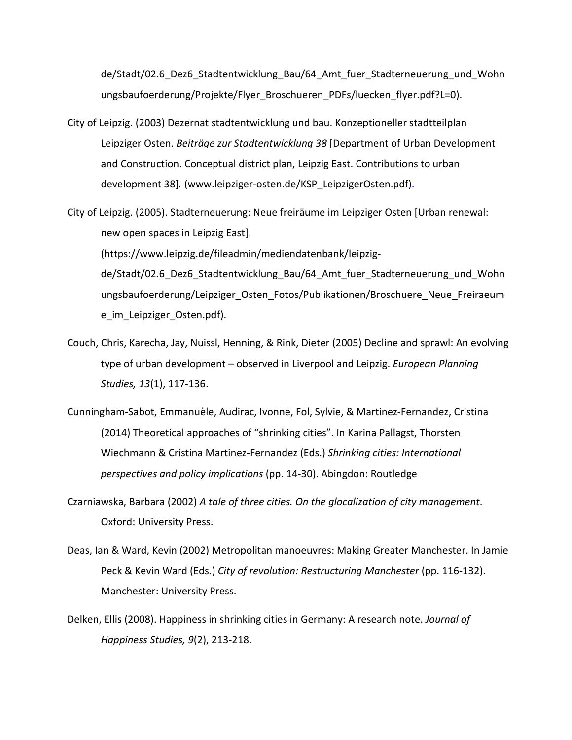[de/Stadt/02.6\\_Dez6\\_Stadtentwicklung\\_Bau/64\\_Amt\\_fuer\\_Stadterneuerung\\_und\\_Wohn](http://www.leipzig.de/fileadmin/mediendatenbank/leipzig-de/Stadt/02.6_Dez6_Stadtentwicklung_Bau/64_Amt_fuer_Stadterneuerung_und_Wohnungsbaufoerderung/Projekte/Flyer_Broschueren_PDFs/luecken_flyer.pdf?L=0) [ungsbaufoerderung/Projekte/Flyer\\_Broschueren\\_PDFs/luecken\\_flyer.pdf?L=0\)](http://www.leipzig.de/fileadmin/mediendatenbank/leipzig-de/Stadt/02.6_Dez6_Stadtentwicklung_Bau/64_Amt_fuer_Stadterneuerung_und_Wohnungsbaufoerderung/Projekte/Flyer_Broschueren_PDFs/luecken_flyer.pdf?L=0).

- City of Leipzig. (2003) Dezernat stadtentwicklung und bau. Konzeptioneller stadtteilplan Leipziger Osten. *Beiträge zur Stadtentwicklung 38* [Department of Urban Development and Construction. Conceptual district plan, Leipzig East. Contributions to urban development 38]*.* (www.leipziger-osten.de/KSP\_LeipzigerOsten.pdf).
- City of Leipzig. (2005). Stadterneuerung: Neue freiräume im Leipziger Osten [Urban renewal: new open spaces in Leipzig East]. (https://www.leipzig.de/fileadmin/mediendatenbank/leipzigde/Stadt/02.6\_Dez6\_Stadtentwicklung\_Bau/64\_Amt\_fuer\_Stadterneuerung\_und\_Wohn ungsbaufoerderung/Leipziger Osten Fotos/Publikationen/Broschuere Neue Freiraeum e\_im\_Leipziger\_Osten.pdf).
- Couch, Chris, Karecha, Jay, Nuissl, Henning, & Rink, Dieter (2005) Decline and sprawl: An evolving type of urban development – observed in Liverpool and Leipzig. *European Planning Studies, 13*(1), 117-136.
- Cunningham-Sabot, Emmanuèle, Audirac, Ivonne, Fol, Sylvie, & Martinez-Fernandez, Cristina (2014) Theoretical approaches of "shrinking cities". In Karina Pallagst, Thorsten Wiechmann & Cristina Martinez-Fernandez (Eds.) *Shrinking cities: International perspectives and policy implications* (pp. 14-30). Abingdon: Routledge
- Czarniawska, Barbara (2002) *A tale of three cities. On the glocalization of city management*. Oxford: University Press.
- Deas, Ian & Ward, Kevin (2002) Metropolitan manoeuvres: Making Greater Manchester. In Jamie Peck & Kevin Ward (Eds.) *City of revolution: Restructuring Manchester* (pp. 116-132). Manchester: University Press.
- Delken, Ellis (2008). Happiness in shrinking cities in Germany: A research note. *Journal of Happiness Studies, 9*(2), 213-218.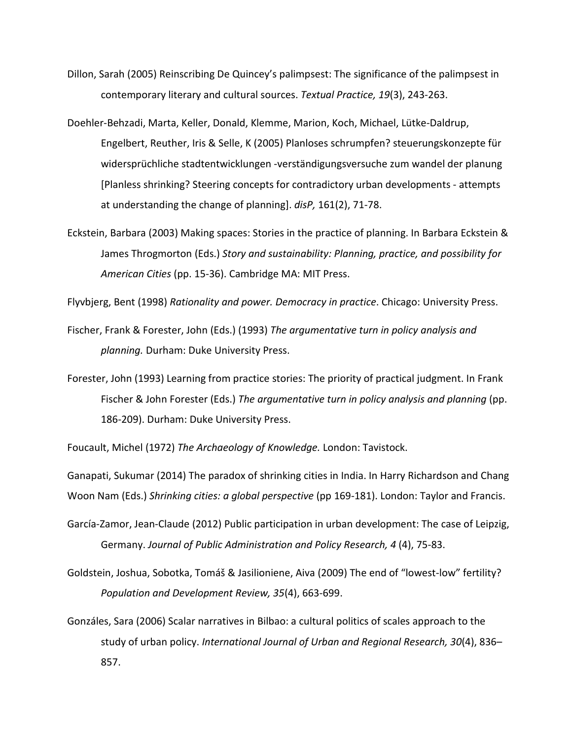- Dillon, Sarah (2005) Reinscribing De Quincey's palimpsest: The significance of the palimpsest in contemporary literary and cultural sources. *Textual Practice, 19*(3), 243-263.
- Doehler-Behzadi, Marta, Keller, Donald, Klemme, Marion, Koch, Michael, Lütke-Daldrup, Engelbert, Reuther, Iris & Selle, K (2005) Planloses schrumpfen? steuerungskonzepte für widersprüchliche stadtentwicklungen -verständigungsversuche zum wandel der planung [Planless shrinking? Steering concepts for contradictory urban developments - attempts at understanding the change of planning]. *disP,* 161(2), 71-78.
- Eckstein, Barbara (2003) Making spaces: Stories in the practice of planning. In Barbara Eckstein & James Throgmorton (Eds.) *Story and sustainability: Planning, practice, and possibility for American Cities* (pp. 15-36). Cambridge MA: MIT Press.

Flyvbjerg, Bent (1998) *Rationality and power. Democracy in practice*. Chicago: University Press.

- Fischer, Frank & Forester, John (Eds.) (1993) *The argumentative turn in policy analysis and planning.* Durham: Duke University Press.
- Forester, John (1993) Learning from practice stories: The priority of practical judgment. In Frank Fischer & John Forester (Eds.) *The argumentative turn in policy analysis and planning* (pp. 186-209). Durham: Duke University Press.

Foucault, Michel (1972) *The Archaeology of Knowledge.* London: Tavistock.

Ganapati, Sukumar (2014) The paradox of shrinking cities in India. In Harry Richardson and Chang Woon Nam (Eds.) *Shrinking cities: a global perspective* (pp 169-181). London: Taylor and Francis.

- García-Zamor, Jean-Claude (2012) Public participation in urban development: The case of Leipzig, Germany. *Journal of Public Administration and Policy Research, 4* (4), 75-83.
- Goldstein, Joshua, Sobotka, Tomáš & Jasilioniene, Aiva (2009) The end of "lowest-low" fertility? *Population and Development Review, 35*(4), 663-699.
- Gonzáles, Sara (2006) Scalar narratives in Bilbao: a cultural politics of scales approach to the study of urban policy. *International Journal of Urban and Regional Research, 30*(4), 836– 857.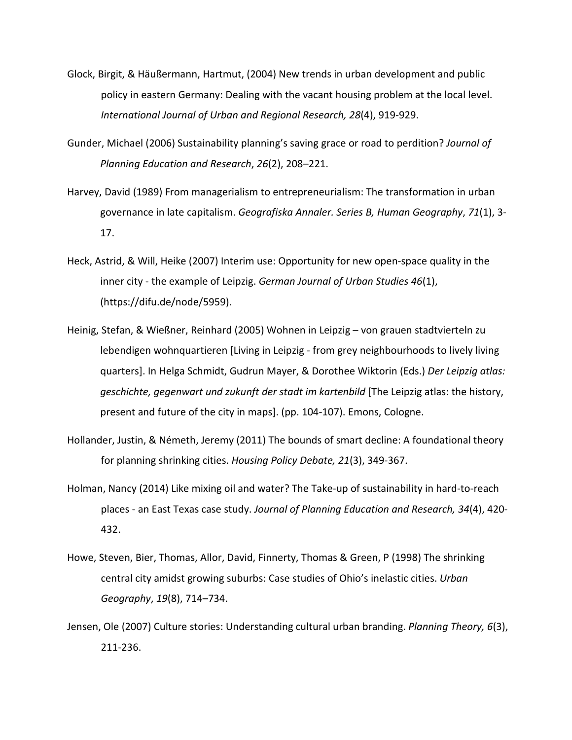- Glock, Birgit, & Häußermann, Hartmut, (2004) New trends in urban development and public policy in eastern Germany: Dealing with the vacant housing problem at the local level. *International Journal of Urban and Regional Research, 28*(4), 919-929.
- Gunder, Michael (2006) Sustainability planning's saving grace or road to perdition? *Journal of Planning Education and Research*, *26*(2), 208–221.
- Harvey, David (1989) From managerialism to entrepreneurialism: The transformation in urban governance in late capitalism. *Geografiska Annaler. Series B, Human Geography*, *71*(1), 3- 17.
- Heck, Astrid, & Will, Heike (2007) Interim use: Opportunity for new open-space quality in the inner city - the example of Leipzig. *German Journal of Urban Studies 46*(1), (https://difu.de/node/5959).
- Heinig, Stefan, & Wießner, Reinhard (2005) Wohnen in Leipzig von grauen stadtvierteln zu lebendigen wohnquartieren [Living in Leipzig - from grey neighbourhoods to lively living quarters]. In Helga Schmidt, Gudrun Mayer, & Dorothee Wiktorin (Eds.) *Der Leipzig atlas: geschichte, gegenwart und zukunft der stadt im kartenbild* [The Leipzig atlas: the history, present and future of the city in maps]. (pp. 104-107). Emons, Cologne.
- Hollander, Justin, & Németh, Jeremy (2011) The bounds of smart decline: A foundational theory for planning shrinking cities. *Housing Policy Debate, 21*(3), 349-367.
- Holman, Nancy (2014) Like mixing oil and water? The Take-up of sustainability in hard-to-reach places - an East Texas case study. *Journal of Planning Education and Research, 34*(4), 420- 432.
- Howe, Steven, Bier, Thomas, Allor, David, Finnerty, Thomas & Green, P (1998) The shrinking central city amidst growing suburbs: Case studies of Ohio's inelastic cities. *Urban Geography*, *19*(8), 714–734.
- Jensen, Ole (2007) Culture stories: Understanding cultural urban branding. *Planning Theory, 6*(3), 211-236.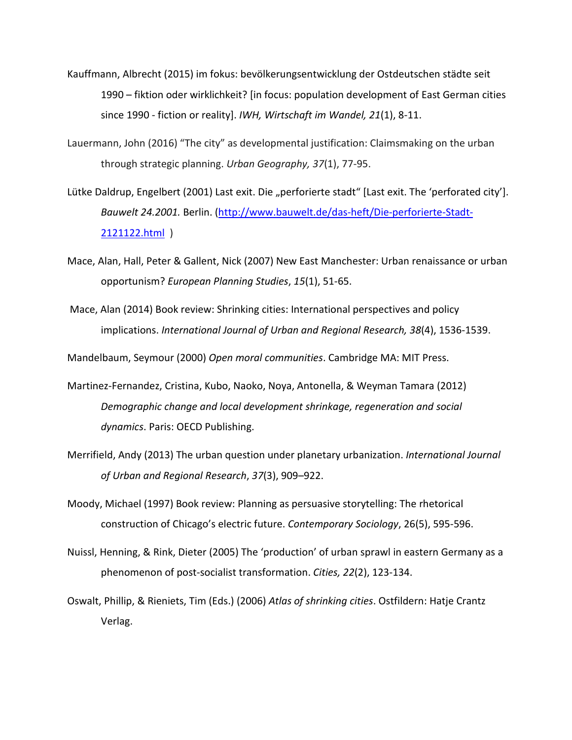- Kauffmann, Albrecht (2015) im fokus: bevölkerungsentwicklung der Ostdeutschen städte seit 1990 – fiktion oder wirklichkeit? [in focus: population development of East German cities since 1990 - fiction or reality]. *IWH, Wirtschaft im Wandel, 21*(1), 8-11.
- Lauermann, John (2016) "The city" as developmental justification: Claimsmaking on the urban through strategic planning. *Urban Geography, 37*(1), 77-95.
- Lütke Daldrup, Engelbert (2001) Last exit. Die "perforierte stadt" [Last exit. The 'perforated city']. *Bauwelt 24.2001.* Berlin. [\(http://www.bauwelt.de/das-heft/Die-perforierte-Stadt-](http://www.bauwelt.de/das-heft/Die-perforierte-Stadt-2121122.html)[2121122.html](http://www.bauwelt.de/das-heft/Die-perforierte-Stadt-2121122.html) )
- Mace, Alan, Hall, Peter & Gallent, Nick (2007) New East Manchester: Urban renaissance or urban opportunism? *European Planning Studies*, *15*(1), 51-65.
- Mace, Alan (2014) Book review: Shrinking cities: International perspectives and policy implications. *International Journal of Urban and Regional Research, 38*(4), 1536-1539.

Mandelbaum, Seymour (2000) *Open moral communities*. Cambridge MA: MIT Press.

- Martinez-Fernandez, Cristina, Kubo, Naoko, Noya, Antonella, & Weyman Tamara (2012) *Demographic change and local development shrinkage, regeneration and social dynamics*. Paris: OECD Publishing.
- Merrifield, Andy (2013) The urban question under planetary urbanization. *International Journal of Urban and Regional Research*, *37*(3), 909–922.
- Moody, Michael (1997) Book review: Planning as persuasive storytelling: The rhetorical construction of Chicago's electric future. *Contemporary Sociology*, 26(5), 595-596.
- Nuissl, Henning, & Rink, Dieter (2005) The 'production' of urban sprawl in eastern Germany as a phenomenon of post-socialist transformation. *Cities, 22*(2), 123-134.
- Oswalt, Phillip, & Rieniets, Tim (Eds.) (2006) *Atlas of shrinking cities*. Ostfildern: Hatje Crantz Verlag.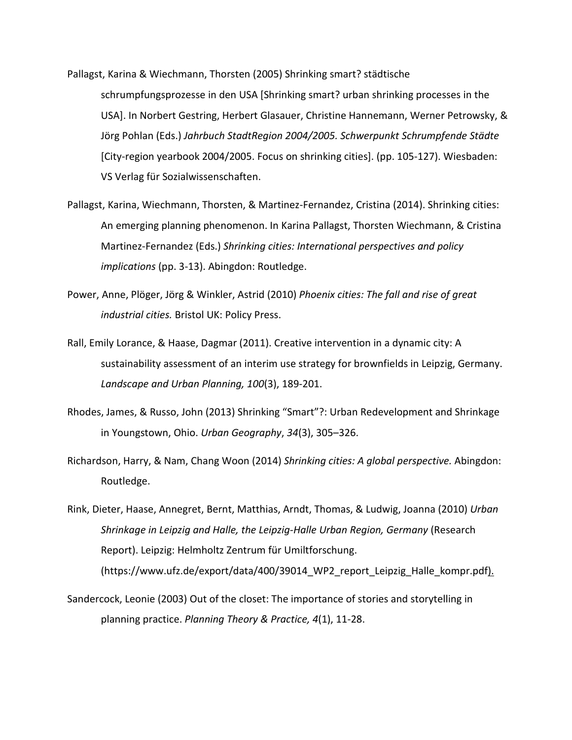Pallagst, Karina & Wiechmann, Thorsten (2005) Shrinking smart? städtische schrumpfungsprozesse in den USA [Shrinking smart? urban shrinking processes in the USA]. In Norbert Gestring, Herbert Glasauer, Christine Hannemann, Werner Petrowsky, & Jörg Pohlan (Eds.) *Jahrbuch StadtRegion 2004/2005. Schwerpunkt Schrumpfende Städte* [City-region yearbook 2004/2005. Focus on shrinking cities]. (pp. 105-127). Wiesbaden: VS Verlag für Sozialwissenschaften.

- Pallagst, Karina, Wiechmann, Thorsten, & Martinez-Fernandez, Cristina (2014). Shrinking cities: An emerging planning phenomenon. In Karina Pallagst, Thorsten Wiechmann, & Cristina Martinez-Fernandez (Eds.) *Shrinking cities: International perspectives and policy implications* (pp. 3-13). Abingdon: Routledge.
- Power, Anne, Plöger, Jörg & Winkler, Astrid (2010) *Phoenix cities: The fall and rise of great industrial cities.* Bristol UK: Policy Press.
- Rall, Emily Lorance, & Haase, Dagmar (2011). Creative intervention in a dynamic city: A sustainability assessment of an interim use strategy for brownfields in Leipzig, Germany. *Landscape and Urban Planning, 100*(3), 189-201.
- Rhodes, James, & Russo, John (2013) Shrinking "Smart"?: Urban Redevelopment and Shrinkage in Youngstown, Ohio. *Urban Geography*, *34*(3), 305–326.
- Richardson, Harry, & Nam, Chang Woon (2014) *Shrinking cities: A global perspective.* Abingdon: Routledge.

Rink, Dieter, Haase, Annegret, Bernt, Matthias, Arndt, Thomas, & Ludwig, Joanna (2010) *Urban Shrinkage in Leipzig and Halle, the Leipzig-Halle Urban Region, Germany* (Research Report). Leipzig: Helmholtz Zentrum für Umiltforschung. (https://www.ufz.de/export/data/400/39014\_WP2\_report\_Leipzig\_Halle\_kompr.pdf).

Sandercock, Leonie (2003) Out of the closet: The importance of stories and storytelling in planning practice. *Planning Theory & Practice, 4*(1), 11-28.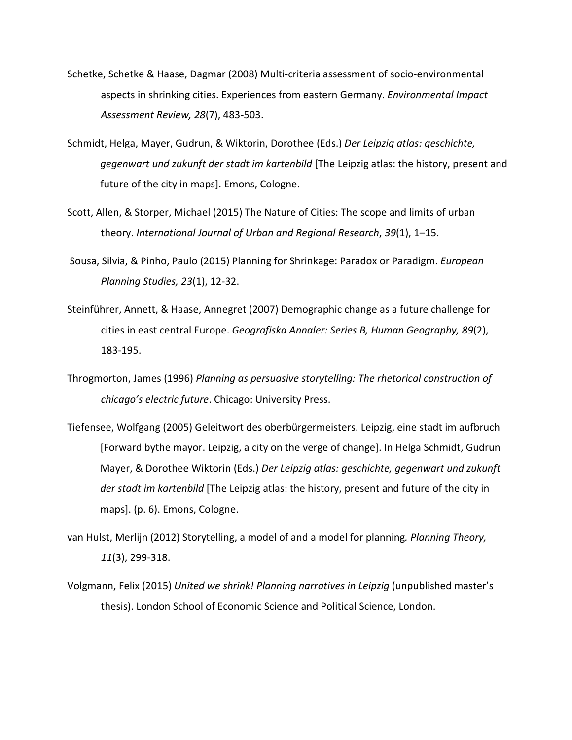- Schetke, Schetke & Haase, Dagmar (2008) Multi-criteria assessment of socio-environmental aspects in shrinking cities. Experiences from eastern Germany. *Environmental Impact Assessment Review, 28*(7), 483-503.
- Schmidt, Helga, Mayer, Gudrun, & Wiktorin, Dorothee (Eds.) *Der Leipzig atlas: geschichte, gegenwart und zukunft der stadt im kartenbild* [The Leipzig atlas: the history, present and future of the city in maps]. Emons, Cologne.
- Scott, Allen, & Storper, Michael (2015) The Nature of Cities: The scope and limits of urban theory. *International Journal of Urban and Regional Research*, *39*(1), 1–15.
- Sousa, Silvia, & Pinho, Paulo (2015) Planning for Shrinkage: Paradox or Paradigm. *European Planning Studies, 23*(1), 12-32.
- Steinführer, Annett, & Haase, Annegret (2007) Demographic change as a future challenge for cities in east central Europe. *Geografiska Annaler: Series B, Human Geography, 89*(2), 183-195.
- Throgmorton, James (1996) *Planning as persuasive storytelling: The rhetorical construction of chicago's electric future*. Chicago: University Press.
- Tiefensee, Wolfgang (2005) Geleitwort des oberbürgermeisters. Leipzig, eine stadt im aufbruch [Forward bythe mayor. Leipzig, a city on the verge of change]. In Helga Schmidt, Gudrun Mayer, & Dorothee Wiktorin (Eds.) *Der Leipzig atlas: geschichte, gegenwart und zukunft der stadt im kartenbild* [The Leipzig atlas: the history, present and future of the city in maps]. (p. 6). Emons, Cologne.
- van Hulst, Merlijn (2012) Storytelling, a model of and a model for planning*. Planning Theory, 11*(3), 299-318.
- Volgmann, Felix (2015) *United we shrink! Planning narratives in Leipzig* (unpublished master's thesis). London School of Economic Science and Political Science, London.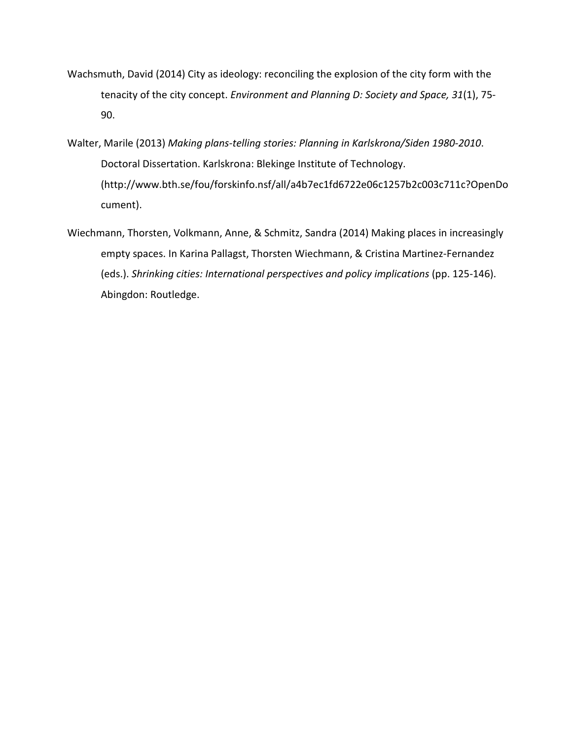- Wachsmuth, David (2014) City as ideology: reconciling the explosion of the city form with the tenacity of the city concept. *Environment and Planning D: Society and Space, 31*(1), 75- 90.
- Walter, Marile (2013) *Making plans-telling stories: Planning in Karlskrona/Siden 1980-2010*. Doctoral Dissertation. Karlskrona: Blekinge Institute of Technology. (http://www.bth.se/fou/forskinfo.nsf/all/a4b7ec1fd6722e06c1257b2c003c711c?OpenDo cument).
- Wiechmann, Thorsten, Volkmann, Anne, & Schmitz, Sandra (2014) Making places in increasingly empty spaces. In Karina Pallagst, Thorsten Wiechmann, & Cristina Martinez-Fernandez (eds.). *Shrinking cities: International perspectives and policy implications* (pp. 125-146). Abingdon: Routledge.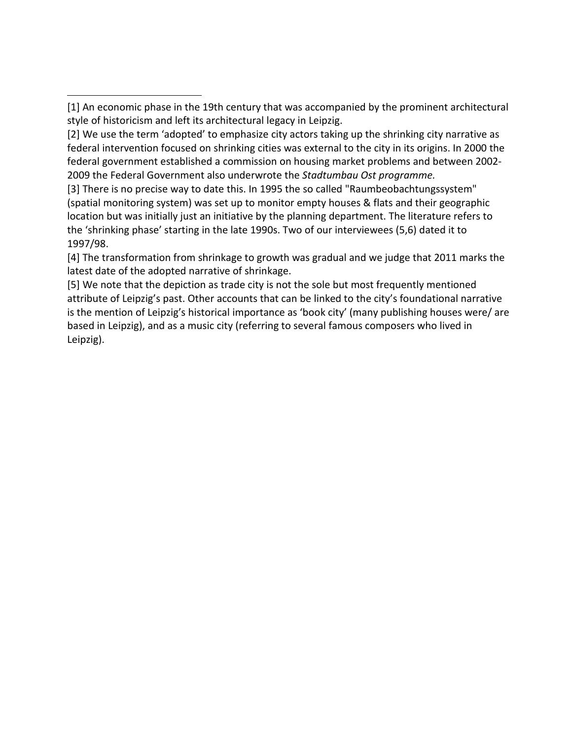<span id="page-29-2"></span>[3] There is no precise way to date this. In 1995 the so called "Raumbeobachtungssystem" (spatial monitoring system) was set up to monitor empty houses & flats and their geographic location but was initially just an initiative by the planning department. The literature refers to the 'shrinking phase' starting in the late 1990s. Two of our interviewees (5,6) dated it to 1997/98.

<span id="page-29-3"></span>[4] The transformation from shrinkage to growth was gradual and we judge that 2011 marks the latest date of the adopted narrative of shrinkage.

<span id="page-29-4"></span>[5] We note that the depiction as trade city is not the sole but most frequently mentioned attribute of Leipzig's past. Other accounts that can be linked to the city's foundational narrative is the mention of Leipzig's historical importance as 'book city' (many publishing houses were/ are based in Leipzig), and as a music city (referring to several famous composers who lived in Leipzig).

<span id="page-29-0"></span>j [1] An economic phase in the 19th century that was accompanied by the prominent architectural style of historicism and left its architectural legacy in Leipzig.

<span id="page-29-1"></span><sup>[2]</sup> We use the term 'adopted' to emphasize city actors taking up the shrinking city narrative as federal intervention focused on shrinking cities was external to the city in its origins. In 2000 the federal government established a commission on housing market problems and between 2002- 2009 the Federal Government also underwrote the *Stadtumbau Ost programme.*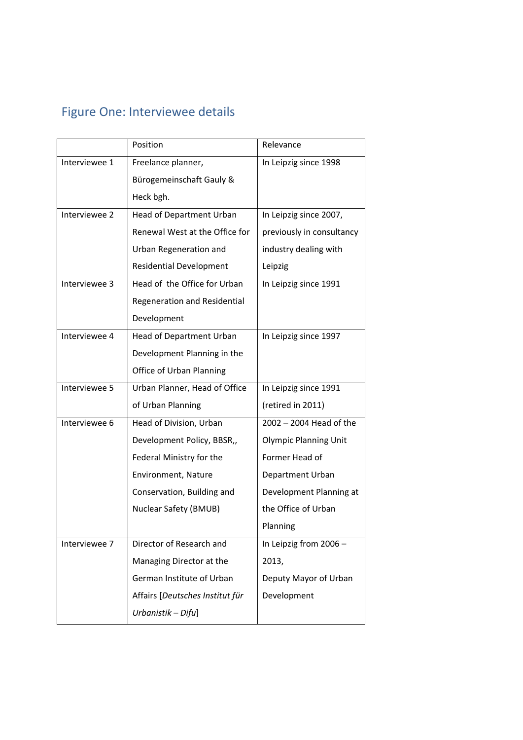# Figure One: Interviewee details

|               | Position                        | Relevance                    |  |
|---------------|---------------------------------|------------------------------|--|
| Interviewee 1 | Freelance planner,              | In Leipzig since 1998        |  |
|               | Bürogemeinschaft Gauly &        |                              |  |
|               | Heck bgh.                       |                              |  |
| Interviewee 2 | Head of Department Urban        | In Leipzig since 2007,       |  |
|               | Renewal West at the Office for  | previously in consultancy    |  |
|               | Urban Regeneration and          | industry dealing with        |  |
|               | <b>Residential Development</b>  | Leipzig                      |  |
| Interviewee 3 | Head of the Office for Urban    | In Leipzig since 1991        |  |
|               | Regeneration and Residential    |                              |  |
|               | Development                     |                              |  |
| Interviewee 4 | <b>Head of Department Urban</b> | In Leipzig since 1997        |  |
|               | Development Planning in the     |                              |  |
|               | Office of Urban Planning        |                              |  |
| Interviewee 5 | Urban Planner, Head of Office   | In Leipzig since 1991        |  |
|               | of Urban Planning               | (retired in 2011)            |  |
| Interviewee 6 | Head of Division, Urban         | 2002 - 2004 Head of the      |  |
|               | Development Policy, BBSR,,      | <b>Olympic Planning Unit</b> |  |
|               | Federal Ministry for the        | Former Head of               |  |
|               | Environment, Nature             | Department Urban             |  |
|               | Conservation, Building and      | Development Planning at      |  |
|               | Nuclear Safety (BMUB)           | the Office of Urban          |  |
|               |                                 | Planning                     |  |
| Interviewee 7 | Director of Research and        | In Leipzig from 2006 -       |  |
|               | Managing Director at the        | 2013,                        |  |
|               | German Institute of Urban       | Deputy Mayor of Urban        |  |
|               | Affairs [Deutsches Institut für | Development                  |  |
|               | Urbanistik - Difu]              |                              |  |